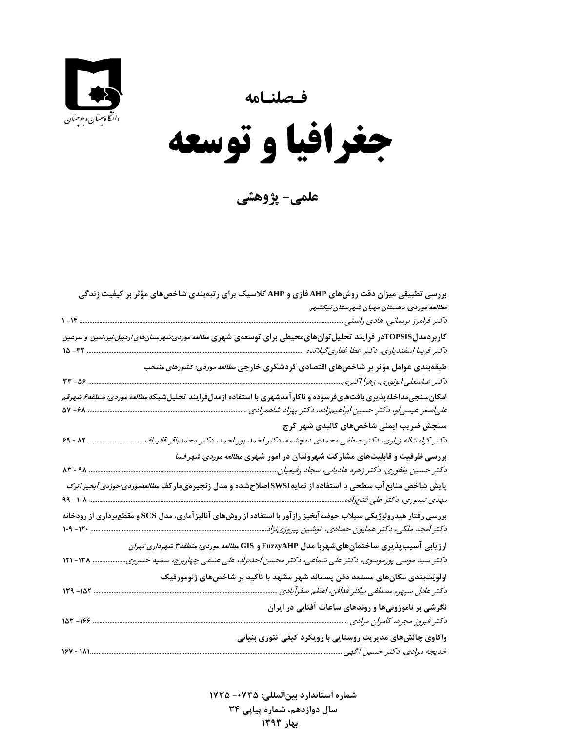**فـصلنـامه** 





**علمي- پژوهشي**

| بررسی تطبیقی میزان دقت روشهای AHP فازی و AHP کلاسیک برای رتبهبندی شاخصهای مؤثر بر کیفیت زندگی                           |
|-------------------------------------------------------------------------------------------------------------------------|
| مطالعه موردی: دهستان مهبان شهرستان نیکشهر                                                                               |
| دکتر فرامرز بریمانی، هادی راستی                                                                                         |
| کاربردمدلTOPSISدر فرایند تحلیل توانهایمحیطی برای توسعهی شهری <i>مطالعه موردی:شهرستانهای اردبیل،نیر،نمین و سرعین</i>     |
| دكتر فريبا اسفندياري، دكتر عطا غفاري گيلانده                                                                            |
| طبقهبندی عوامل مؤثر بر شاخصهای اقتصادی گردشگری خارج <i>ی مطالعه موردی: کشورهای منتخب</i>                                |
| $rr - \Delta r$ .                                                                                                       |
| امکان سنجیمداخلهپذیری بافتهایفرسوده و ناکار آمدشهری با استفاده ازمدلفرایند تحلیل شبکه <i>مطالعه موردی: منطقه۶ شهرقم</i> |
| علی صغر عیسی و، دکتر حسین ابراهیمزاده، دکتر بهزاد شاهمرادی                                                              |
| سنجش ضریب ایمنی شاخصهای کالبدی شهر کرج                                                                                  |
| $59 - XY$<br>دکتر کرامتاله زیاری، دکترمصطفی محمدی دهچشمه، دکتر احمد پور احمد، دکتر محمدباقر قالیباف                     |
| بررسی ظرفیت و قابلیتهای مشارکت شهروندان در امور شهری <i>مطالعه موردی: شهر فسا</i>                                       |
| ۸۳ - ۹۸<br>دکتر حسین یغفوری، دکتر زهره هادیانی، سجاد رفیعیان                                                            |
| پایش شاخص منابع آب سطحی با استفاده از نمایهSWSIاصلاحشده و مدل زنجیرهیمارکف <i>مطالعهموردی:حوزمی آبخیز اترک</i>          |
|                                                                                                                         |
| بررسی رفتار هیدرولوژیکی سیلاب حوضهآبخیز رازآور با استفاده از روشهای آنالیزآماری، مدل SCS و مقطعبرداری از رودخانه        |
|                                                                                                                         |
| ارزیابی آسیبپذیری ساختمانهایشهربا مدل FuzzyAHP و GIS <i>مطالعه موردی: منطقه ۳ شهرداری تهران</i>                         |
| دکتر سید موسی پورموسوی، دکتر علی شماعی، دکتر محسن احدنژاد، علی عشقی چهاربرج، سمیه خسروی.<br>$151 - 174$                 |
| اولویّتبندی مکانهای مستعد دفن پسماند شهر مشهد با تأکید بر شاخصهای ژئومورفیک                                             |
| $119 - 107$<br>دكتر عادل سپهر، مصطفى بيگلر فدافن، اعظم صفرآبادي                                                         |
| نگرشی بر ناموزونیها و روندهای ساعات آفتابی در ایران                                                                     |
|                                                                                                                         |
| واکاوی چالشهای مدیریت روستایی با رویکرد کیفی تئوری بنیانی                                                               |
| $154 - 11$                                                                                                              |
|                                                                                                                         |

**شماره استاندارد بينالمللي: -0735 <sup>1735</sup> سال دوازدهم، شماره پياپي 34 بهار 1393**